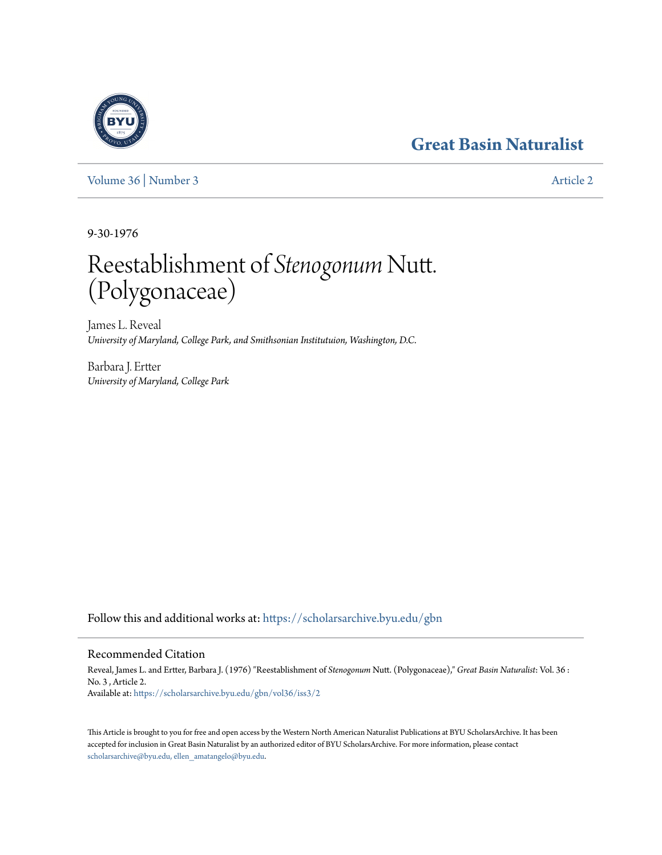## **[Great Basin Naturalist](https://scholarsarchive.byu.edu/gbn?utm_source=scholarsarchive.byu.edu%2Fgbn%2Fvol36%2Fiss3%2F2&utm_medium=PDF&utm_campaign=PDFCoverPages)**



[Volume 36](https://scholarsarchive.byu.edu/gbn/vol36?utm_source=scholarsarchive.byu.edu%2Fgbn%2Fvol36%2Fiss3%2F2&utm_medium=PDF&utm_campaign=PDFCoverPages) | [Number 3](https://scholarsarchive.byu.edu/gbn/vol36/iss3?utm_source=scholarsarchive.byu.edu%2Fgbn%2Fvol36%2Fiss3%2F2&utm_medium=PDF&utm_campaign=PDFCoverPages) [Article 2](https://scholarsarchive.byu.edu/gbn/vol36/iss3/2?utm_source=scholarsarchive.byu.edu%2Fgbn%2Fvol36%2Fiss3%2F2&utm_medium=PDF&utm_campaign=PDFCoverPages)

9-30-1976

# Reestablishment of *Stenogonum* Nutt. (Polygonaceae)

James L. Reveal *University of Maryland, College Park, and Smithsonian Institutuion, Washington, D.C.*

Barbara J. Ertter *University of Maryland, College Park*

Follow this and additional works at: [https://scholarsarchive.byu.edu/gbn](https://scholarsarchive.byu.edu/gbn?utm_source=scholarsarchive.byu.edu%2Fgbn%2Fvol36%2Fiss3%2F2&utm_medium=PDF&utm_campaign=PDFCoverPages)

### Recommended Citation

Reveal, James L. and Ertter, Barbara J. (1976) "Reestablishment of *Stenogonum* Nutt. (Polygonaceae)," *Great Basin Naturalist*: Vol. 36 : No. 3 , Article 2. Available at: [https://scholarsarchive.byu.edu/gbn/vol36/iss3/2](https://scholarsarchive.byu.edu/gbn/vol36/iss3/2?utm_source=scholarsarchive.byu.edu%2Fgbn%2Fvol36%2Fiss3%2F2&utm_medium=PDF&utm_campaign=PDFCoverPages)

This Article is brought to you for free and open access by the Western North American Naturalist Publications at BYU ScholarsArchive. It has been accepted for inclusion in Great Basin Naturalist by an authorized editor of BYU ScholarsArchive. For more information, please contact [scholarsarchive@byu.edu, ellen\\_amatangelo@byu.edu.](mailto:scholarsarchive@byu.edu,%20ellen_amatangelo@byu.edu)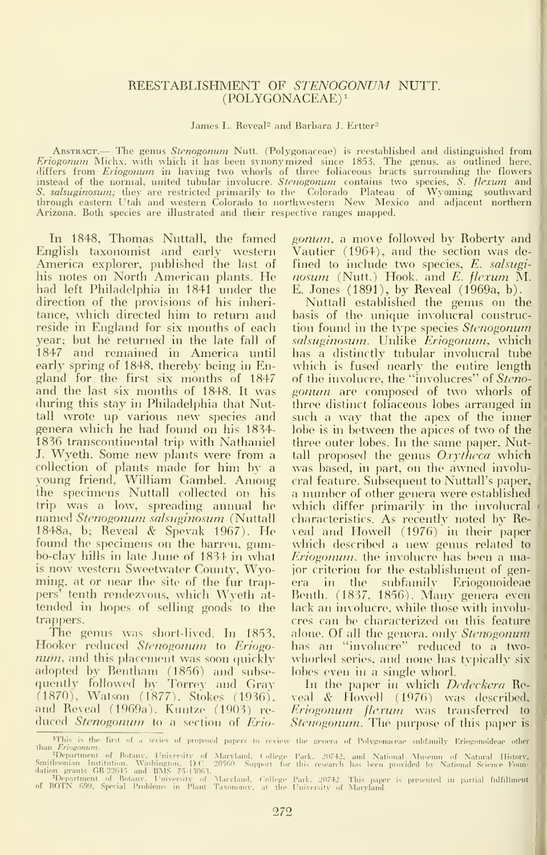#### REESTABLISHMENT OF STENOGONUM NUTT. (POLYGONACEAE)i

James L. Reveal<sup>2</sup> and Barbara J. Ertter<sup>3</sup>

ABSTRACT.— The genus Stenogonum Nutt. (Polygonaceae) is reestablished and distinguished from Eriogonum Michx. with which it has been synonymized since 1853. The genus, as outlined here, differs from Eriogonum in having two whorls of three foliaceous bracts surrounding the flowers instead of the normal, united tubular involucre.  $Stenogonum$  contains two species,  $S.$  fl*exum* and  $\blacksquare$ S. salsuginosum; they are restricted primarily to the Colorado Plateau of Wyoming southward through eastern Utah and western Colorado to northwestern New Mexico and adjacent northern [1] [1] Arizona. Both species are illustrated and their respective ranges mapped.

In 1848, Thomas Nuttall, the famed English taxonomist and early western America explorer, published the last of his notes on North American plants. He had left Philadelphia in 1841 under the direction of the provisions of his inheritance, which directed him to return and reside in England for six months of each year; but he returned in the late fall of 1847 and remained in America until early spring of 1848, thereby being in England for the first six months of 1847 and the last six months of 1848. It was during this stay in Philadelphia that Nuttall wrote up various new species and genera which he had found on his 1834- 1836 transcontinental trip with Nathaniel J. Wyeth. Some new plants were from <sup>a</sup> collection of plants made for him by <sup>a</sup> young friend, William Gambel. Among the specimens Nuttall collected on his trip was a low, spreading annual he named Stenogonum salsuginosum (Nuttall 1848a, b; Reveal & Spevak 1967). He found the specimens on the barren, gumbo-clay hills in late June of 1834 in what is now western Sweetwater Comity, Wyoming, at or near the site of the fur trappers' tenth rendezvous, which Wyeth attended in hopes of selling goods to the trappers.

The genus was short-lived. In 1853, Hooker reduced Stenogonum to Eriogonum, and this placement was soon quickly adopted by Bentham (1856) and siibse quently followed by Torrey and Gray – . (1870), Watson (1877), Stokes (1936), ve and Reveal (1969a). Kuntze (1903) re duced *Stenogonum* to a section of Erio-

gonum, a move followed by Roberty and Vautier (1964), and the section was de fined to include two species, E. salsuginosum (Nutt.) Hook, and E. flexum M. E. Jones (1891), by Reveal (1969a, b).

Nuttall established the genus on the basis of the unique involucral construction found in the type species Stenogonum salsuginosum. Unlike Eriogonum, which has a distinctly tubular involucral tube which is fused nearly the entire length of the involucre, the "involucres" of Steno gonum are composed of two whorls of three distinct foliaceous lobes arranged in such <sup>a</sup> way that the apex of the inner lobe is in between the apices of two of the three outer lobes. In the same paper, Nuttall proposed the genus Oxytheca which was based, in part, on the awned involucral feature. Subsequent to Nuttall's paper, <sup>a</sup> number of other genera were established which differ primarily in the involucral characteristics. As recently noted by Reveal and Howell (1976) in their paper which described <sup>a</sup> new genus related to Eriogonum, the involucre has been a major criterion for the establishment of genera in the subfamily Eriogonoideae Benth. (1837, 1856). Many genera even lack an involucre, while those with involucres can be characterized on this feature alone. Of all the genera, only Stenogonum has an "involucre" reduced to a two whorled series, and none has typically sixlobes even in a single whorl.

In the paper in which *Dedeckera* Reveal & Howell (1976) was described, Eriogonum flexum was transferred to Stenogonum. The purpose of this paper is

 $\rm ^{4}Tm$ s is the first of a series of proposed papers to review the genera of Polygonaceae subfamily Eriogonoideae o than *Eriogonum*.<br>
2 Popartment of Botany, University of Maryland, College Pa<br>
Smithsonian Institution. Washington, D.C. 20560. Support for th<br>
dation grantment of Botany. University of Maryland, College Pa<br>
<sup>3</sup> Popartment Park. 20742, aud National Museum of Natural History,<br>this research has been provided by National Science Foun-

Park. 20742 - This paper is presented in partial fulfillment ....<br>University of Maryland,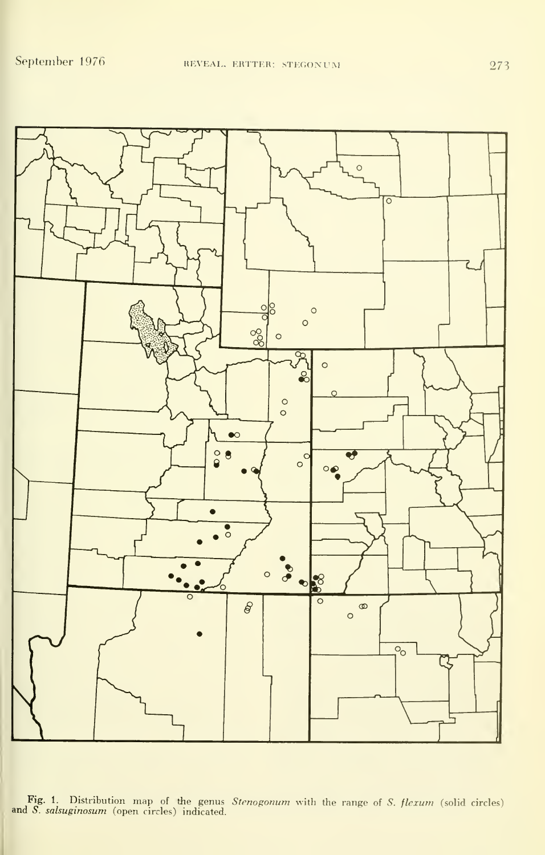

Fig. 1. Distribution map of the genus Stenogonum with the range of S. flexum (solid circles) and S. salsuginosum (open circles) indicated.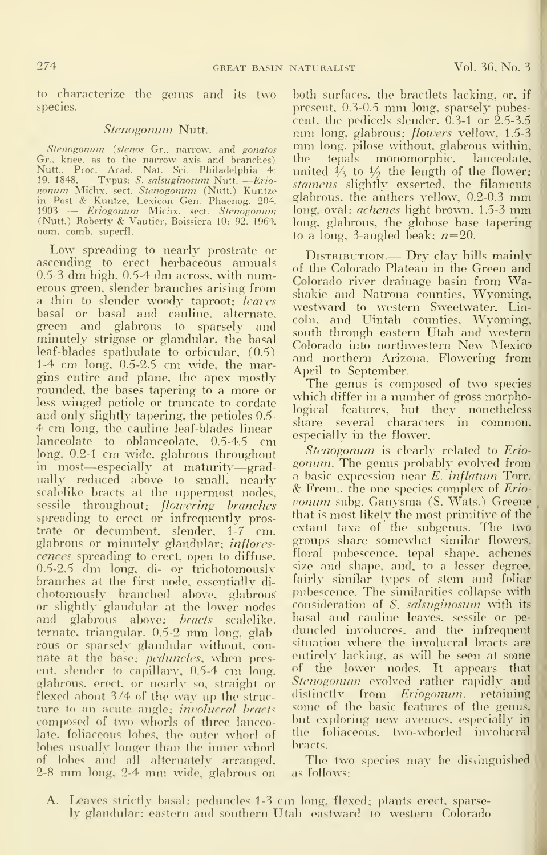to characterize the genus and its two species.

#### Stenogonum Nutt.

*Stenogonum* (*stenos* Gr., narrow, and *gonatos* mm<br>r., knee, as to the narrow axis and branches) the Gr.. knee, as to the narrow axis and branches) – t Nutt.. Proc. Acad. Nat. Sci. Philadolphia 4: 19. 1848. — Typus: S. sahuginosum Nutt. —Erio- sonum Michx. sect. Stenogonum (Nutt.) Kuntze gonum Michx. sect. *Stenogonum* (Nutt.) Kuntze<br>in Post & Kuntze, Lexicon Gen. Phaenog. 204. m Fost & Kuntze, Lexicon Gen. Friaenog. 20+,<br>1903 — *Eriogonum* Michx. sect. *Stenogonum* Io<br>(Nutt.) Roberty & Vautier, Boissiera 10: 92. 1964, I<sub>O</sub> nom. comb, superfl.

Low spreading to nearly prostrate or ascending to erect herbaceous annuals 0.5-3 dm high, 0.5-4 dm across, with numerous green, slender branches arising from a thin to slender woody taproot; *leaves* basal or basal and cauline, alternate, green and glabrous to sparsely and minutely strigose or glandular, the basal leaf-blades spathulate to orbicular, (0.6) 1-4 cm long, 0.5-2.5 cm wide, the margins entire and plane, the apex mostly rounded, the bases tapering to a more or less winged petiole or tnmcate to cordate and only slightly tapering, the petioles 0.5- 4 cm long, the cauline leaf-blades linearlanceolate to oblanceolate, 0.5-4.5 cm long, 0.2-1 cm wide, glabrous throughout in most—especially at maturity—gradually reduced above to small, nearly a basic expression near  $E$ , inflatum Torr. scalelike bracts at the uppermost nodes, sessile throughout; *flowering branches* spreading to erect or infrequently prostrate or decumbent, slender, 1-7 cm, glabrous or minutely glandular; inflores cences spreading to erect, open to diffuse. 0.5-2.5 dm long, di- or trichotomously branches at the first node, essentially di chotomously branched above, glabrous or slightly glandular at the lower nodes and glabrous above; *bracts* scalelike, ternate, triangular, 0.5-2 mm long, glab rous or sparsely glandular without, con nate at the base; *peduncles*, when present, slender to capillary, 0.5-4 cm long, glabrous, erect, or nearly so, straight or flexed about 3/4 of the way up the struc ture to an acute angle; *involucral bracts* composed of two whorls of three lanceo late, foliaceous lobes, the outer whorl of lobes usually longer than the inner whorl of lobes and all alternately arranged. 2-8 mm long. 2-4 nun wide, glabrous on

both surfaces, the bractlets lacking, or, if present, 0.3-0.5 mm long, sparsely pubes-<br>cent, the pedicels slender, 0.3-1 or 2.5-3.5 mm long, glabrous; *flowers* yellow, 1.5-3<br>5-3 mm long, pilose without, glabrous within, tepals monomorphic, lanceolate, united  $\frac{1}{3}$  to  $\frac{1}{2}$  the length of the flower: stamens slightly exserted, the filaments glabrous, the anthers yellow\ 0.2-0.3 mm long, oval; *achenes* light brown, 1.5-3 mm long, glabrous, the globose base tapering to a long, 3-angled beak;  $n=20$ .

DISTRIBUTION. - Dry clay hills mainly of the Colorado Plateau in the Green and Colorado river drainage basin from Washakie and Natrona counties, Wyoming, westward to western Sweetwater, Lincoln, and Uintah counties, Wyoming, south through eastern Utah and western Colorado into northwestern New Mexico and northern Arizona. Flowering from April to September.

The genus is composed of two species which differ in <sup>a</sup> number of gross morphological features, but they nonetheless share several characters in common, especially in the flower.

Stenogonum is clearly related to Erio*gonum*. The genus probably evolved from  $&$  Frem., the one species complex of Erioponum subg. Ganysma (S. Wats.) Greene that is most likely the most primitive of the extant taxa of the subgenus. The two groups share somewhat similar flowers, floral pubescence, tepal shape, achenes size and shape, and, to a lesser degree, fairly similar types of stem and foliar pubescence. The similarities collapse with consideration of S. salsuginosum with its basal and cauline leaves, sessile or pe duncled involucres, and tlie infrequent situation where the involucral bracts are entirely lacking, as will be seen at some of the lower nodes. It appears that Stenogonum evolved rather rapidly and distinctly from Eriogonum, retaining some of the basic features of the genus, but exploring new avenues, especially in the foliaceous. two-whorled involucral bracts.

The two species may be distinguished as follows:

A. Leaves strictly basal; peduncles 1-3 cm long, flexed; plants erect, sparse ly glandular; eastern and southern Utah eastward to western Colorado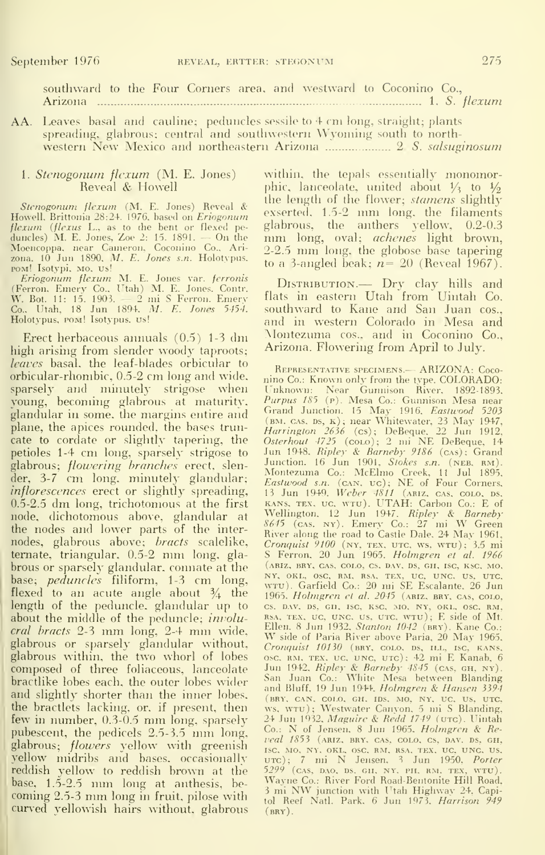southward to the Four Corners area, and westward to Coconino Co., Arizona 1. 5. flexum

AA. Leaves basal and cauline; peduncles sessile to 4 cm long, straight; plants spreading, glabrous; central and southwestern Wyoming south to northwestern New Mexico and northeastern Arizona ..................... 2 S. salsuginosum

#### 1. Stenogonum flexum (M. E. Jones) Reveal & Howell

Stenogonum flexum (M. E. Jones) Reveal & The Howell, Brittonia 28:24. 1976, based on *Eriogonum flexum (flexus L.*., as to the bent or flexed pe-  $\frac{18}{6}$  duncles) M. E. Jones, Zoe 2: 15. 1891. — On the  $\frac{1}{12}$ Moencoppa, near Cameron, Coconino Co., Ari- — 2<br>zona, 10 Jun 1890, *M. E. Jones s.n.* Holotypus. — <sub>11</sub>

Pom! Isotypi, Mo, Us!<br> *Eriogonum flexum M. E. Jones var. ferronis*<br>
(Ferron, Emery Co., Utah) M. E. Jones. Contr.<br>
(W. Bot. 11: 15. 1903. — 2 mi S Ferron. Emery flat<br>
Co., Utah, 18 Jun 1894, *M. E. Jones 5:454.* so<br>
Holo

Erect herbaceous annuals (0.5) 1-3 dm high arising from slender woody taproots; leaves basal, the leaf-blades orbicular to orbicular-rhombic. 0.5-2 cm long and wide, sparsely and minutely strigose when young, becoming glabrous at maturity, glandular in some, the margins entire and plane, the apices rounded, the bases truncate to cordate or slightly tapering, the petioles 1-4 cm long, sparsely strigose to glabrous; *flowering branches* erect, slender, 3-7 cm long, minutely glandular;  $E_c$ inflorescences erect or slightly spreading, 0.5-2.5 dm long, trichotomous at the first node, dichotomous above, glandular at the nodes and lower parts of the inter-  $\frac{50}{8}$ nodes, glabrous above; *bracts* scalelike, temate, triangular, 0.5-2 mm long, glabrous or sparsely glandular, connate at the base; *peduncles* filiform, 1-3 cm long,  $\frac{N}{W}$ flexed to an acute angle about  $\frac{3}{4}$  the  $\frac{1}{19}$ length of the peduncle, glandular up to about the middle of the peduncle; *involu*cral bracts 2-3 mm long, 2-4 mm wide, Ellen 8 Jun 1932, Stanton 1042 (BRY). Kane Co.:<br>classroom of the classroom wide, W side of Paria River above Paria, 20 May 1965, glabrous or sparsely glandular without,  $\,$   $_{C_{I}}$ glabrous within, the two whorl of lobes composed of three foliaceous, lanceolate bractlike lobes each, the outer lobes wider and slightly shorter than the inner lobes, the bractlets lacking, or. if present, then few in number, 0.3-0.5 mm long, sparsely pubescent, the pedicels 2.5-3.5 mm long, glabrous; *flowers* yellow with greenish yellow midribs and bases, occasionally reddish yellow to reddish brown at the base, 1.5-2.5 nun long at anthesis, be coming 2.5-3 nun long in fruit, pilose with curved yellowish hairs without, glabrous

within, the tepals essentially monomorphic, lanceolate, united about  $\frac{1}{3}$  to  $\frac{1}{2}$ the length of the flower; *stamens* slightly exserted, 1.5-2 mm long, the filaments<br>glabrous, the anthers yellow, 0.2-0.3 mm long, oval; achenes light brown, 2-2.5 mm long, the globose base tapering to a 3-angled beak;  $n=20$  (Reveal 1967).

DISTRIBUTION.- Dry clay hills and flats in eastern Utah from Uintah Co. southward to Kane and San Juan cos., and in western Colorado in Mesa and Montezuma cos., and in Coconino Co., Arizona. Flowering from April to July.

REPRESENTATIVE SPECIMENS. - ARIZONA: Coconino Co.: Known only from the type. COLORADO: Unknown: Near Gunnison River, 1892-1893, *Purpus 185 (p). Mesa Co.: Gunnison Mesa near*<br>Grand Junction. 15 May 1916. *Eastwood 5203* (bm, cas, bs, k); near Whitewater, 23 May 1947,<br>*Harrington 2636* (cs); DeBeque. 22 Jun 1912,<br>*Osterhout 4725* (colo); 2 mi NE DeBeque, 14 Jun 1948. Ripley & Barneby 9186 (CAS); Grand Junction, 16 Jun 1901, *Stokes s.n.* (neb. rm).<br>Montezuma Co.: McElmo Creek, 11 Jul 1895,<br>*Eastwood s.n.* (can, uc); NE of Four Corners,<br>13 Jun 1949, *Weber 4811* (ariz, cas, colo, ds, kans, tex. uc. wtu). UTAH: Carbon Co.: E of Wellington, 12 Jun 1947. *Ripley & Barneby*<br>8645 (cas. ny). Emery Co.: 27 mi W Green River along the road to Castle Dale, 24 May 1961. Cronquist 9100 (ny, tex, utc, ws, wtu); 3.5 mi<br>S. Ferron, 20 Jun 1965. *Holmgren et al. 1966* (ariz, BRY. CAS. COLO, CS, DAV, DS. GH, ISC, KSC, MO, NY, OKL, OSC, RM, RSA, TEX, UC, UNC. US, UTC,<br>WTU). Garfield Co.: 20 mi SE Escalante, 26 Jun<br>1965, *Holmgren et al. 204*5 (AR1z, bry. cas, colo, CS. D.W. DS, GH, ISC, KSC, MO, NY, OKL. OSC, RM, RSA, TEX, UC, UNC, US, UTC, WTU); E side of Mt.<br>Ellen. 8 Jun 1932, Stanton 1042 (BRY). Kane Co.: Cronquist 10130 (BRY, COLO, DS, ILL, ISC, KANS, OSC, RM, TEX, uc. UNC, UTc) ; 42 mi E Kanab, 6 Jun 1942, *Ripley & Barneby 4845* (cas, gң. ny).<br>San Juan Co.: White Mesa between Blanding<br>and Bluff, 19 Jun 1944. *Holmgren & Hansen 3394* (BRY, CAN, COLO, GH. IDS. MO, NY, UC, US, UTC, WS, WTU); Westwater Canyon, 5 mi S Blanding,<br>24 Jun 1932, Maguire & Redd 1749 (UTC). Uintah Co.: N of Jensen, <sup>8</sup> Jun 1965. Holmgren & Reveal 1853 (ariz, bry, CAS, colo. cs, dav, DS, gh, ISC, Mo, Ny, OKL, OSC, RM, RSA, TEX, UC, UNC, US.<br>UTC); 7 mi N Jensen, 3 Jun 1950, *Porter 5299 (cas. d.o. ds. gh, ny. ph. rm. tex, wtu).*<br>5299 (cas. d.o. ds. gh, ny. ph. rm. tex, wtu).<br>Wayne Co.: River Ford Road-Bentonite <sup>3</sup> mi NW junction with Utah Highwav 24, Capitol Reef Natl. Park, 6 Jun 1973, Harrison 949  $(BRY)$ .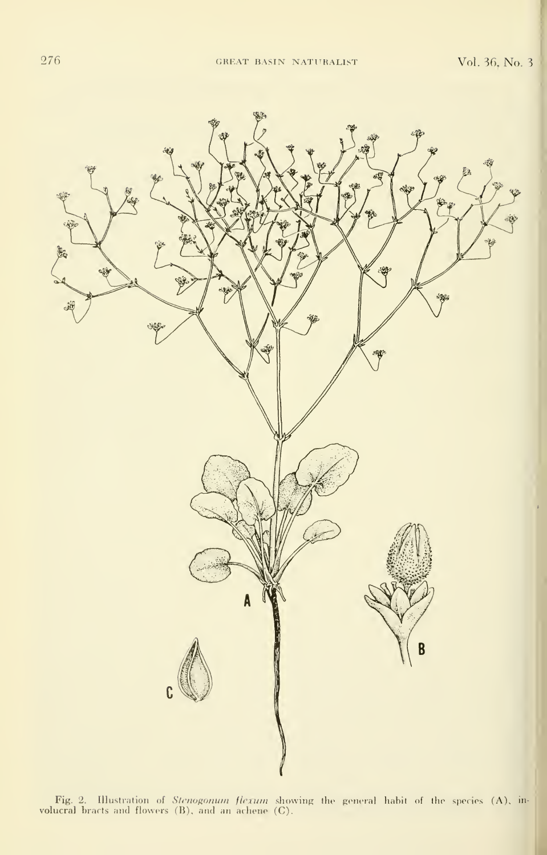Vol. 36, No. 3



Fig. 2. Illustration of *Stenogonum flexum* showing the general habit of the species (A), involucral bracts and flowers (B), and an achene (C).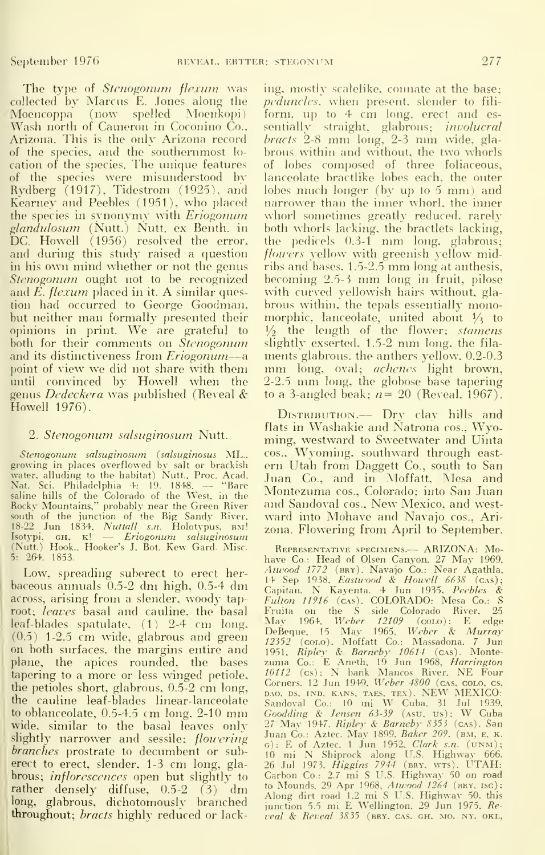The type of *Stenogonum flexum* was collected by Marcus E. Jones along the Moencoppa (now spelled Moenkopi Wash north of Cameron in Coconino Co.. Arizona. This is the only Arizona record of the species, and the southernmost lo cation of the species. The unique features of the species were misunderstood bv Rydberg (1917), Tidestrom (1925), and Kearney and Peebles (1951), who placed the species in synonymy with Eriogonum glandulosum (Nutt.) Nutt. ex Benth. in DC. Howell (1956) resolved the error, and during this study raised a question in his own mind whether or not the genus Stenogonum ought not to be recognized and  $E$ , flexum placed in it. A similar question had occurred to George Goodman, but neither man formally presented their  $\mathop{\rm op}$ inions in print. We are grateful to  $\frac{1}{2}$ both for their comments on *Stenogonum* sli<sub>i</sub> and its distinctiveness from *Eriogonum*—a ments glabrous, the anthers yellow,  $0.2{\text -}0.3$ point of view we did not share with them until convinced by Howell when the genus Dedeckera was published (Reveal & Howell 1976).

#### 2. Stenogonum salsuginosum Nutt.

S*tenogonum salsuginosum (salsuginosus* ML., <sup>ce</sup><br>growing in-places-overflowed-by-salt-or-brackish - en water, alluding to the habitat) Nutt., Proc. Acad.<br>Nat. Sci. Philadelphia 4: 19, 1848. — "Bare Nat. Sci. Philadelphia 4: 19. 1848. saline hills of the Colorado of the West, in the F<br>Rocky Mountains," probably near the Green River - a south of the junction of the Big Sandy River. 18-22 Jun 1834, *Nuttall s.n.* Holotypus, вм! <sub>ZC</sub><br>Isotypi, GH, к! — *Eriogonum salsuginosum*<br>(Nutt.) Hook. Hooker's J. Bot. Kew Gard. Misc. 5: 264. 1853.

Low. spreading suberect to erect herbaceous annuals 0.5-2 dm high, 0.5-4 dm across, arising from <sup>a</sup> slender, woody taproot; *leaves* basal and cauline, the basal leaf-blades spatulate, (1) 2-4 cm long. (0.5) 1-2.5 cm wide, glabrous and green on both surfaces, the margins entire and plane, the apices rounded, the bases tapering to a more or less winged petiole, the petioles short, glabrous, 0.5-2 cm long, the cauline leaf-blades linear-lanceolate to oblanceolate, 0.5-4.5 cm long, 2-10 mm wide, similar to the basal leaves only slightly narrower and sessile; *flowering* branches prostrate to decumbent or suberect to erect, slender, 1-3 cm long, gla brous; *inflorescences* open but slightly to rather densely diffuse, 0.5-2 (3) dm long, glabrous, dichotomously branched throughout; *bracts* highly reduced or lacking, mostly scalelike, connate at the base; peduncles, when present, slender to fili form, up to 4 cm long, erect and essentially straight, glabrous; *involucral* bracts 2-8 nun long, 2-5 mm wide, glabrous within and without, the two whorls of lobes composed of three foliaceous, lanceolate bractlike lobes each, the outer lobes much longer (by up to <sup>5</sup> mm) and narrower than the inner whorl, the inner whorl sometimes greatly reduced, rarely both whorls lacking, the bractlets lacking, the pedicels 0.3-1 mm long, glabrous; flowers yellow with greenish yellow midribs and bases, 1.5-2.5 mm long at anthesis, becoming 2.5-3 mm long in fruit, pilose with curved yellowish hairs without, glabrous within, the tepals essentially monomorphic, lanceolate, united about  $\frac{1}{3}$  to  $\frac{1}{2}$  the length of the flower; *stamens* slightly exserted,  $1.5-2$  mm long, the filamm long, oval; *achenes* light brown, 2-2.5 mm long, the globose base tapering to a 3-angled beak;  $n=20$  (Reveal, 1967).

DISTRIBUTION. -- Dry clay hills and flats in Washakie and Natrona cos., Wyoming, westward to Sweetwater and Uinta COS., Wyoming, southward through east ern Utah from Daggett Co., south to San Juan Co., and in Moffatt, Mesa and Montezuma cos., Colorado; into San Juan and Sandoval cos.. New Mexico, and west ward into Mohave and Navajo cos., Arizona. Flowering from April to September.

REPRESENTATIVE SPECIMENS.— ARIZONA: Mohave Co.: Head of Olsen Canyon. 27 May 1969,<br>*Atuvood 1772 (*bry). Navajo Co.: Near Agathla, 14 Sep 1938, *Eastwood & Howell 6638 (c*as);<br>Capitan. N Kayenta. 4 Jun 1935, *Peebles &*<br>F*ulton 11916 (c*as). COLORADO: Mesa Co.: S Fruita on the S side Colorado River, 25<br>May 1964. *Weber 12109* (coLo): E edge DeBeque, 15 May 1965, *Weber & Murray*<br>*12352* (colo). Moffatt Co.: Massadona. 7 Jun<br>1951, *Ripley & Barneby 10614* (cas). Monte-<br>zuma Co.: E Aneth, 19 Jun 1968, *Harrington* 10112 (cs); N bank Mancos River, NE Four<br>Corners. 12 Jun 1949, Weber 4800 (cas. colo. cs, BAO, DS. IND. KANS, TAES, TEX). NEW MEXICO:<br>Sandoval Co.: 10 mi W Cuba. 31 Jul 1939,<br>Goodding & Jensen 63-39 (Asu, us); W Cuba<br>27 May 1947, Ripley & Barneby 8353 (cas). San<br>Juan Co.: Aztec. May 1899, Baker 209, (BM, E, K, 6): E of Aztec. 1 Jun 1952, *Clark s.n.* (UNM);<br>10 mi N Shiprock along U.S. Highway 666,<br>26 Jul 1973, *Higgins 7944* (bry. wrs). UTAH: Carbon Co.: 2.7 mi S U.S. Highway 50 on road to Mounds, 29 Apr 1968, *Atwood 1264* (вву, isc);<br>Along dirt road 1.2 mi S U.S. Highway 50, this junction 5.5 mi E Wellington. 29 Jun 1975. Reveal & Reveal 3835 (BRY. CAS. GH. MO. NY. OKL,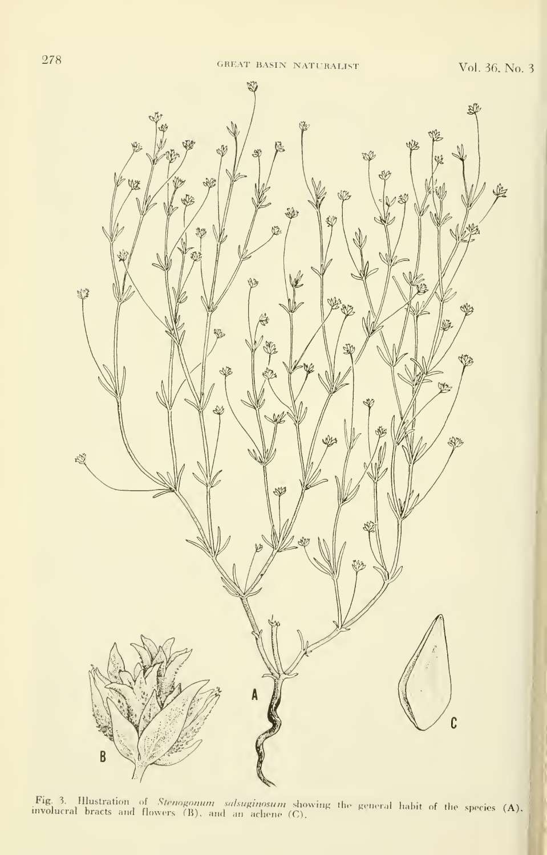

Fig. 3. Hlustration of *Stenogonum salsuginosum* showing the general habit of the species  $(A)$ , involucral bracts and flowers  $(B)$ , and an achene  $(C)$ .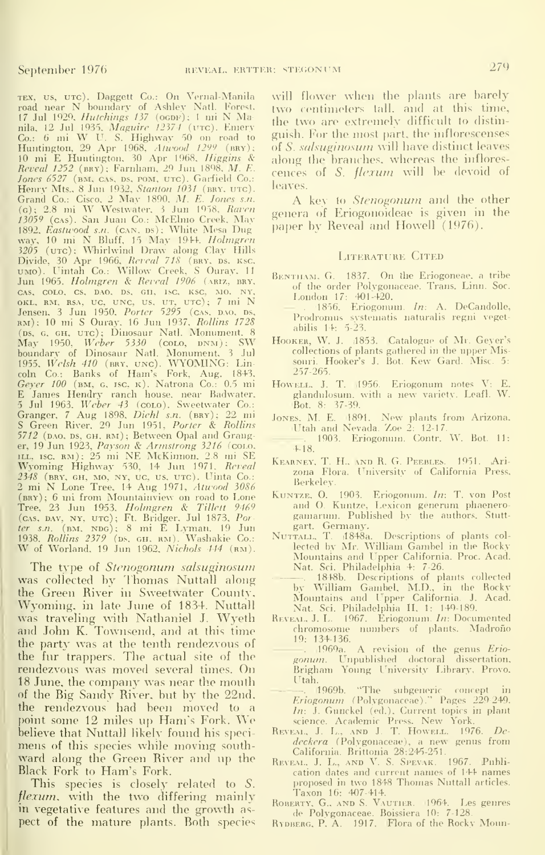TEX, US, UTC). Daggett Co.: On Vernal-Manila v<br>road near N boundary of Ashley Natl. Forest, <sub>t</sub><br>17 Jul 1929, *Hutchings 137* (ogdf); 1 mi N Manila, 12 Jul 1935, *Maguire 12374* (vrc). Emery<br>Co.: 6 mi W U. S. Highway 50 on road to g<sup>1</sup><br>Huntington, 29 Apr 1968, *Atwood 1299* (bry); of 10 mi E Huntington. 30 Apr 1968. Higgins & ale Reveal 1252 (imv); Farnham. 29 Jun 1898. M. E. Jones 6527 (BM, CAS, DS, POM, UTC). Garfield Co.: Henry Mts., 8 Jun 1932, *Stanton 1031* (bry. utc).<br>Grand Co.: Cisco. 2 May 1890. *M. E. Jones s.n.*<br>(c); 2.8 mi W Westwater. 3 Jun 1958, *Raven* ger<br>13059 (c.ss). San Juan Co.: McElmo Creek. May 1892, *Eastwood s.n.* (cʌn. ɒs); White Mesa Dug – <sup>pe</sup><br>way, 10 mi N Bluff, 15 May 1944. *Holmgren*<br>3205 (uтc); Whirlwind Draw along Clay Hills Divide, 30 Apr 1966, *Reveal 718* (bry. ds. ksc. – ) UMo). I^intah Co.: Willow Creek. S Ouray, <sup>11</sup> Jun 1965. Holmgren & Reveal 1906 (ARIZ, BRY. cas, colo, cs, dao, ds, gh, isc, ksc, mo, ny,<br>okl, rm, rsa, uc, unc, us, ut, utc); 7 mi N<br>Jensen, 3 Jun 1950, *Porter 5295* (cas, d.no. ds, – rm); 10 mi S Ouray. 16 Jun 1937. Rollins 1728 (ps. G. GH., UTC); Dinosaur Natl. Monument. 8<br>May 1950, *Weber 5330* (coto, DNM); SW Hoon<br>boundary of Dinosaur Natl. Monument. 3 Jul<br>1955, *Welsh 410* (BRY, UNC). WYOMING: Lin-<br>coln Co.: Banks of Ham's Fork, Aug. 1843,<br>*Ge* E James Hendry ranch house, near Badwater,<br>5 Jul 1963, *Weber 43* (colo). Sweetwater Co.:<br>Granger, 7 Aug 1898, *Diehl s.n.* (bry); 22 mi <sub>Je</sub><br>S Green River, 29 Jun 1951, *Porter & Rollins* 5712 (DAO, DS, GH, RM); Between Opal and Granger, 19 Jun 1923, *Payson & Armstrong 3216 (c*oto,<br>111., 15c. RM); 25 mi NE McKinnon, 2.8 mi SE<br>Wyoming Highway 530, 14 Jun 1971, *Reveal* KE 2348 (bry. gh. mo. ny, uc, us. utc). Uinta Co.: 2 mi N Lone Tree. 14 Aug 1971, *Atwood 3086* (BRY); 6 mi from Mountainview on road to Lone K<br>Tree, 23 Jun 1953. *Holmgren & Tillett 9469*<br>(cas, bav, NY, UTC); Ft. Bridger. Jul 1873. Porter s.n.  $(\text{BM.} \text{NDG})$ ; 8 mi E Lyman. 19 Jun 1938. *Rollins 2379* (ps, gh, rm). Washakie Co.: <sup>N</sup><br>W of Worland, 19 Jun 1962, *Nichols 444* (rm).

The type of Stenogonum salsuginosum was collected by Thomas Nuttall along the Green River in Sweetwater County, Wyoming, in late June of 1834. Nuttall was traveling with Nathaniel J. Wyeth and John K. Townsend, and at this time the party was at the tenth rendezvous of the fur trappers. The actual site of the rendezvous was moved several times. On 18 June, the company was near the mouth of the Big Sandy River, but by the 22nd. the rendezvous had been moved to a point some 12 miles up Ham's Fork. We believe that Nuttall likely found his specimens of this species while moving southward along the Green River and up the Black Fork to Ham's Fork.

This species is closely related to 5. flexum, with the two differing mainly in vegetative features and the growth as pect of the mature plants. Both species

will flower when the plants are barely two centimeters tall, and at this time, the two are extremely difficult to distin guish. For the most part, the inflorescenses of S. salsuginosum will have distinct leaves along the branches, whereas the inflores cences of S. flexum will be devoid of leaves.

A key to *Stenogonum* and the other genera oif Eriogonoideae is given in the paper by Reveal and Howell (1976).

#### LITERATURE CITED

- BENTHAM, G. 1837. On the Eriogoneae, a tribe of the order Polvgonaceae. Trans. Linn. Soc.
- London 17: 401-420.<br>- . 1856. Eriogonum. *In*: A. DeCandolle, ... Prodromus systematis naturalis regni vegetabilis 14: 5-23.
- HOOKER, W. J. (1853. Catalogue of Mr. Geyer's collections of plants gathered in the upper Missouri. Hooker's J. Bot. Kew Gard. Misc. 5: 257-265.
- Howell, J. T. 1956. Eriogonum notes V: E. glandulosum. with <sup>a</sup> new variety. Leafl. W. Bot. 8: 37-39.
- Jones. M. E. 1891. New plants from Arizona. Utah and Nevada. Zoe 2: 12-17. . 1903. Eriogonum. Contr. W. Bot. 11:
- 4-18.
- Kearney, T. H.. and R. G. Peebles. 1951. Ari zona Flora. University of California Press, Berkeley.
- Kuntze, O. 1903. Eriogonum. *In*: T. von Post and O. Kuntze, Lexicon generum phaenerogamarimi. Published by the authors. Stutt gart, Germany.<br>NUTTALL, T. (1848a.
- Descriptions of plants collected by Mr. William Gambel in the Rocky Mountains and Upper California. Proc. Acad. Nat. Sci. Philadelphia 4: 7-26.
	- . 1848b. Descriptions of plants collected by William Gambel, M.D., in the Rocky Mountains and Upper California. J. Acad. Nat. Sci. Philadelphia H. 1: 149-189.
- REVEAL. J. L. 1967. Eriogonum. In: Documented chromosome numbers of plants. Madroño 19: 134-136.
	- . ,1969a. A revision of the genus Erio- gonum. Unpublished doctoral dissertation, Brigham Young University Library, Provo. Utah.
	- il969b. "The subgeneric concept in Eriogonum (Polvgonaceae)." Pages 229-249. In: J. Gunckel (ed.). Current topics in plant science. Academic Press. New York.
- REVEAL, J. L., AND J. T. HOWELL. 1976. Dedeckera (Polvgonaceae). a new genus from
- California. Brittonia 28:245-251. Reve.\l, J. L., AND V. S. Spevak. 1967. Publication dates and current names of 144 names proposed in two 1848 Thomas Nuttall articles. Taxon 16: 407-414.
- Roberty. G., and S. Vautier. 1964. Les genres de Polvgonaceae. Boissiera 10: 7-128.
- RYDBERG, P. A. 1917. Flora of the Rocky Moun-